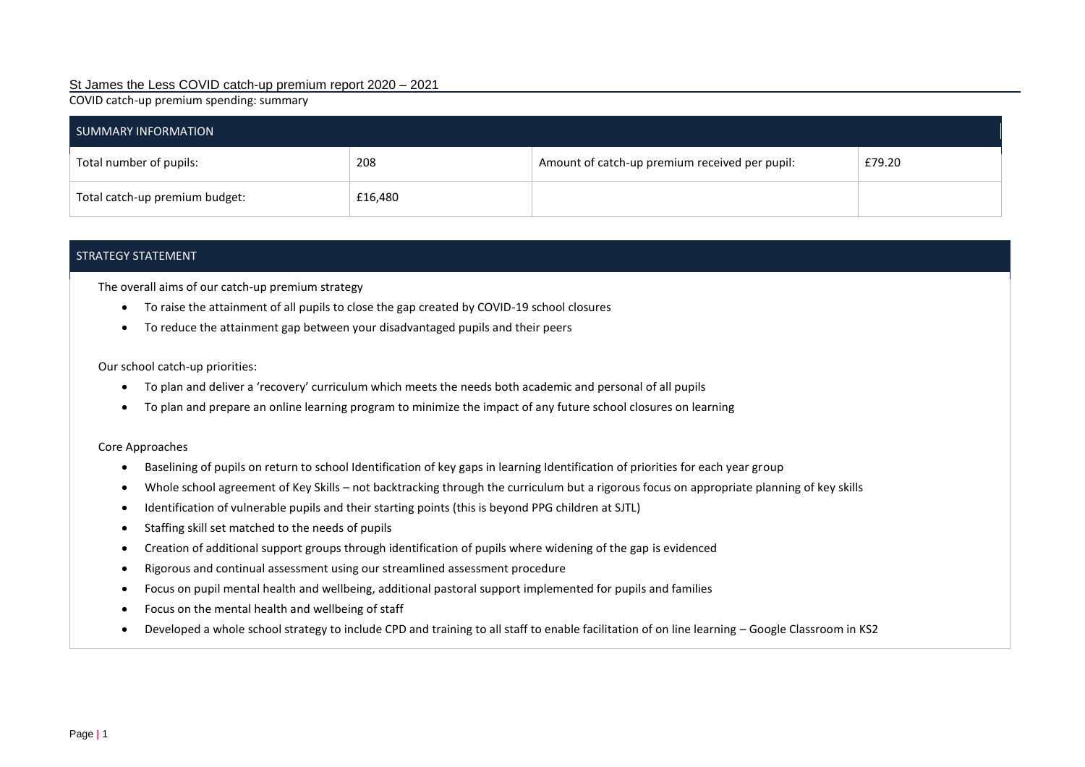### St James the Less COVID catch-up premium report 2020 – 2021

COVID catch-up premium spending: summary

| SUMMARY INFORMATION            |         |                                                |        |  |  |
|--------------------------------|---------|------------------------------------------------|--------|--|--|
| Total number of pupils:        | 208     | Amount of catch-up premium received per pupil: | £79.20 |  |  |
| Total catch-up premium budget: | £16,480 |                                                |        |  |  |

#### STRATEGY STATEMENT

The overall aims of our catch-up premium strategy

- To raise the attainment of all pupils to close the gap created by COVID-19 school closures
- To reduce the attainment gap between your disadvantaged pupils and their peers

Our school catch-up priorities:

- To plan and deliver a 'recovery' curriculum which meets the needs both academic and personal of all pupils
- To plan and prepare an online learning program to minimize the impact of any future school closures on learning

#### Core Approaches

- Baselining of pupils on return to school Identification of key gaps in learning Identification of priorities for each year group
- Whole school agreement of Key Skills not backtracking through the curriculum but a rigorous focus on appropriate planning of key skills
- Identification of vulnerable pupils and their starting points (this is beyond PPG children at SJTL)
- Staffing skill set matched to the needs of pupils
- Creation of additional support groups through identification of pupils where widening of the gap is evidenced
- Rigorous and continual assessment using our streamlined assessment procedure
- Focus on pupil mental health and wellbeing, additional pastoral support implemented for pupils and families
- Focus on the mental health and wellbeing of staff
- Developed a whole school strategy to include CPD and training to all staff to enable facilitation of on line learning Google Classroom in KS2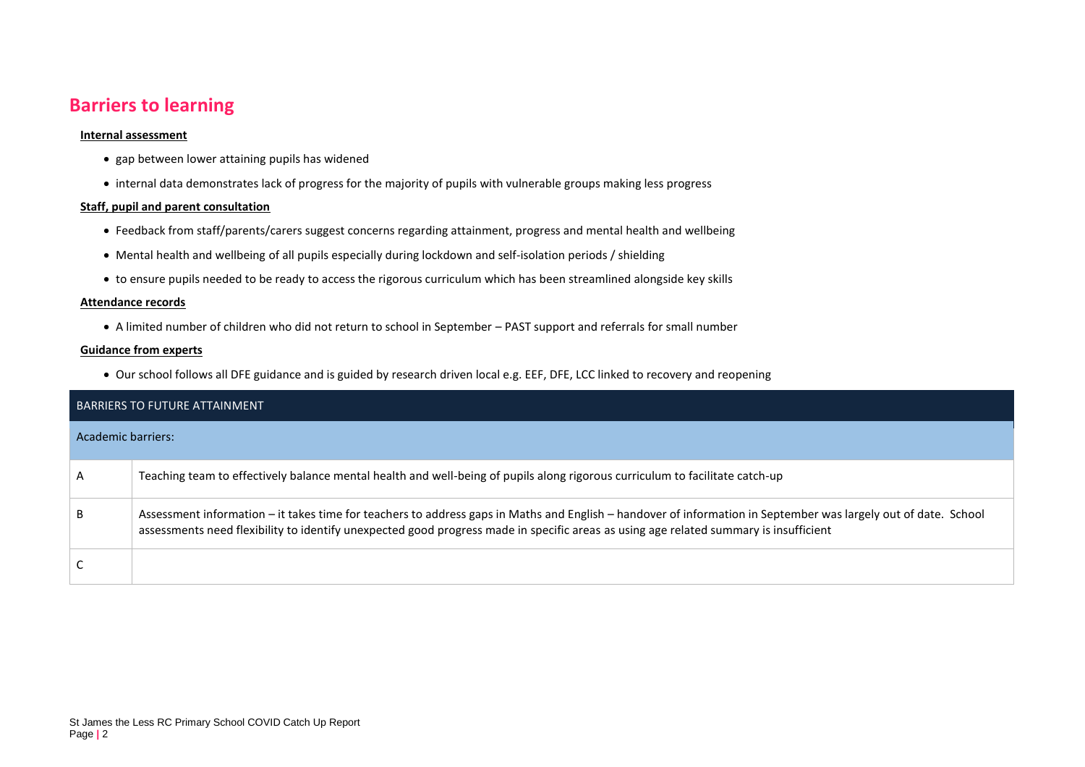## **Barriers to learning**

#### **Internal assessment**

- gap between lower attaining pupils has widened
- internal data demonstrates lack of progress for the majority of pupils with vulnerable groups making less progress

#### **Staff, pupil and parent consultation**

- Feedback from staff/parents/carers suggest concerns regarding attainment, progress and mental health and wellbeing
- Mental health and wellbeing of all pupils especially during lockdown and self-isolation periods / shielding
- to ensure pupils needed to be ready to access the rigorous curriculum which has been streamlined alongside key skills

#### **Attendance records**

A limited number of children who did not return to school in September – PAST support and referrals for small number

#### **Guidance from experts**

Our school follows all DFE guidance and is guided by research driven local e.g. EEF, DFE, LCC linked to recovery and reopening

| <b>BARRIERS TO FUTURE ATTAINMENT</b> |                                                                                                                                                                                                                                                                                                          |  |  |  |
|--------------------------------------|----------------------------------------------------------------------------------------------------------------------------------------------------------------------------------------------------------------------------------------------------------------------------------------------------------|--|--|--|
| Academic barriers:                   |                                                                                                                                                                                                                                                                                                          |  |  |  |
| A                                    | Teaching team to effectively balance mental health and well-being of pupils along rigorous curriculum to facilitate catch-up                                                                                                                                                                             |  |  |  |
| B                                    | Assessment information – it takes time for teachers to address gaps in Maths and English – handover of information in September was largely out of date. School<br>assessments need flexibility to identify unexpected good progress made in specific areas as using age related summary is insufficient |  |  |  |
|                                      |                                                                                                                                                                                                                                                                                                          |  |  |  |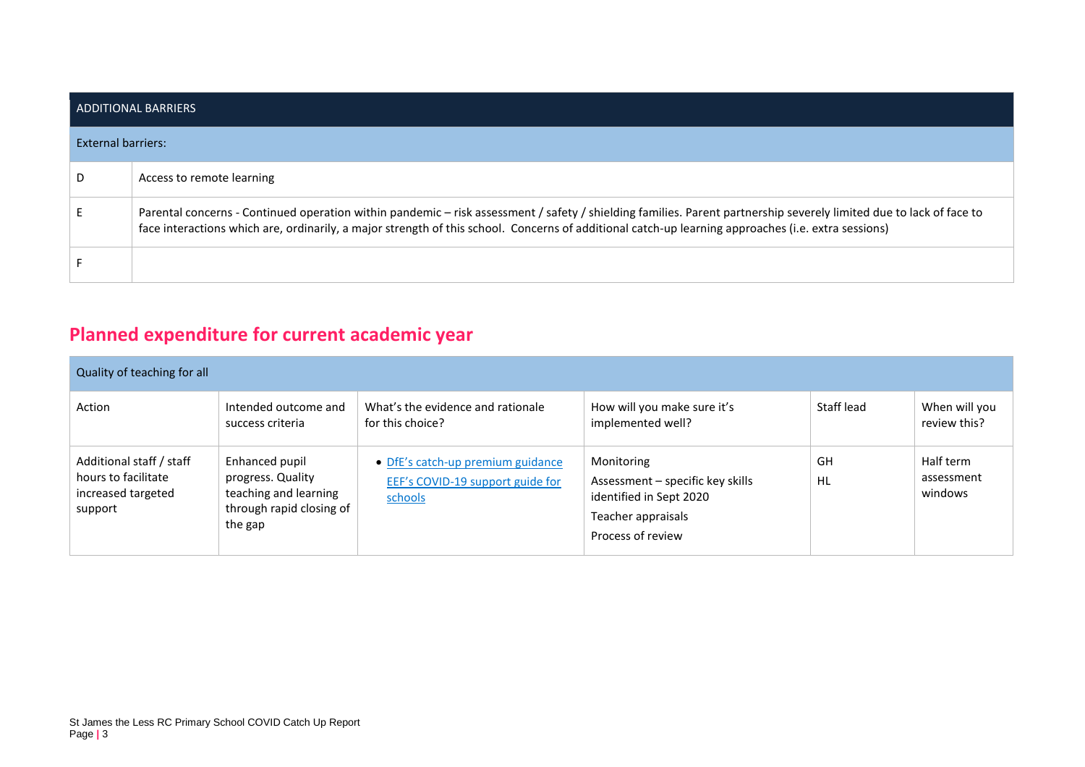| LADDITIONAL BARRIERS |                                                                                                                                                                                                                                                                                                                            |  |  |  |
|----------------------|----------------------------------------------------------------------------------------------------------------------------------------------------------------------------------------------------------------------------------------------------------------------------------------------------------------------------|--|--|--|
| External barriers:   |                                                                                                                                                                                                                                                                                                                            |  |  |  |
| D                    | Access to remote learning                                                                                                                                                                                                                                                                                                  |  |  |  |
|                      | Parental concerns - Continued operation within pandemic - risk assessment / safety / shielding families. Parent partnership severely limited due to lack of face to<br>face interactions which are, ordinarily, a major strength of this school. Concerns of additional catch-up learning approaches (i.e. extra sessions) |  |  |  |
|                      |                                                                                                                                                                                                                                                                                                                            |  |  |  |

# **Planned expenditure for current academic year**

| Quality of teaching for all                                                      |                                                                                                     |                                                                                  |                                                                                                                      |            |                                    |
|----------------------------------------------------------------------------------|-----------------------------------------------------------------------------------------------------|----------------------------------------------------------------------------------|----------------------------------------------------------------------------------------------------------------------|------------|------------------------------------|
| Action                                                                           | Intended outcome and<br>success criteria                                                            | What's the evidence and rationale<br>for this choice?                            | How will you make sure it's<br>implemented well?                                                                     | Staff lead | When will you<br>review this?      |
| Additional staff / staff<br>hours to facilitate<br>increased targeted<br>support | Enhanced pupil<br>progress. Quality<br>teaching and learning<br>through rapid closing of<br>the gap | • DfE's catch-up premium guidance<br>EEF's COVID-19 support guide for<br>schools | Monitoring<br>Assessment - specific key skills<br>identified in Sept 2020<br>Teacher appraisals<br>Process of review | GH<br>HL   | Half term<br>assessment<br>windows |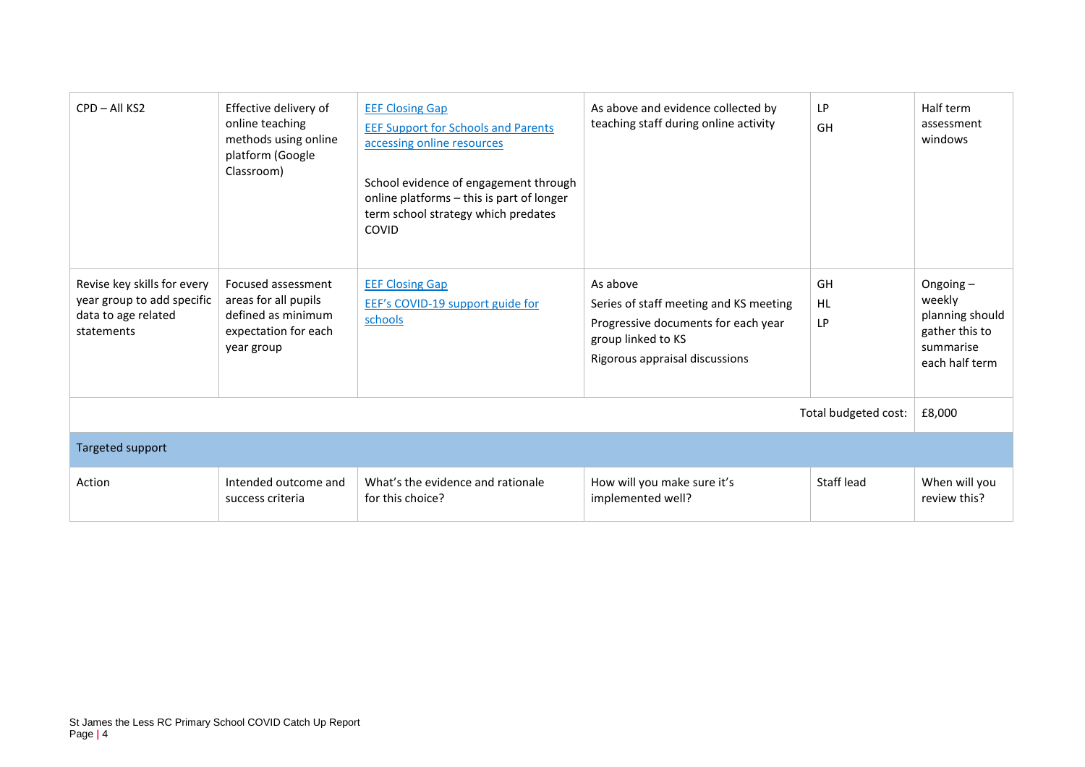| CPD - All KS2                                                                                  | Effective delivery of<br>online teaching<br>methods using online<br>platform (Google<br>Classroom)     | <b>EEF Closing Gap</b><br><b>EEF Support for Schools and Parents</b><br>accessing online resources<br>School evidence of engagement through<br>online platforms - this is part of longer<br>term school strategy which predates<br>COVID | As above and evidence collected by<br>teaching staff during online activity                                                                       | LP<br>GH              | Half term<br>assessment<br>windows                                                        |
|------------------------------------------------------------------------------------------------|--------------------------------------------------------------------------------------------------------|------------------------------------------------------------------------------------------------------------------------------------------------------------------------------------------------------------------------------------------|---------------------------------------------------------------------------------------------------------------------------------------------------|-----------------------|-------------------------------------------------------------------------------------------|
| Revise key skills for every<br>year group to add specific<br>data to age related<br>statements | Focused assessment<br>areas for all pupils<br>defined as minimum<br>expectation for each<br>year group | <b>EEF Closing Gap</b><br>EEF's COVID-19 support guide for<br>schools                                                                                                                                                                    | As above<br>Series of staff meeting and KS meeting<br>Progressive documents for each year<br>group linked to KS<br>Rigorous appraisal discussions | GH<br>HL<br><b>LP</b> | Ongoing $-$<br>weekly<br>planning should<br>gather this to<br>summarise<br>each half term |
| Total budgeted cost:                                                                           |                                                                                                        |                                                                                                                                                                                                                                          |                                                                                                                                                   |                       | £8,000                                                                                    |
| Targeted support                                                                               |                                                                                                        |                                                                                                                                                                                                                                          |                                                                                                                                                   |                       |                                                                                           |
| Action                                                                                         | Intended outcome and<br>success criteria                                                               | What's the evidence and rationale<br>for this choice?                                                                                                                                                                                    | How will you make sure it's<br>implemented well?                                                                                                  | Staff lead            | When will you<br>review this?                                                             |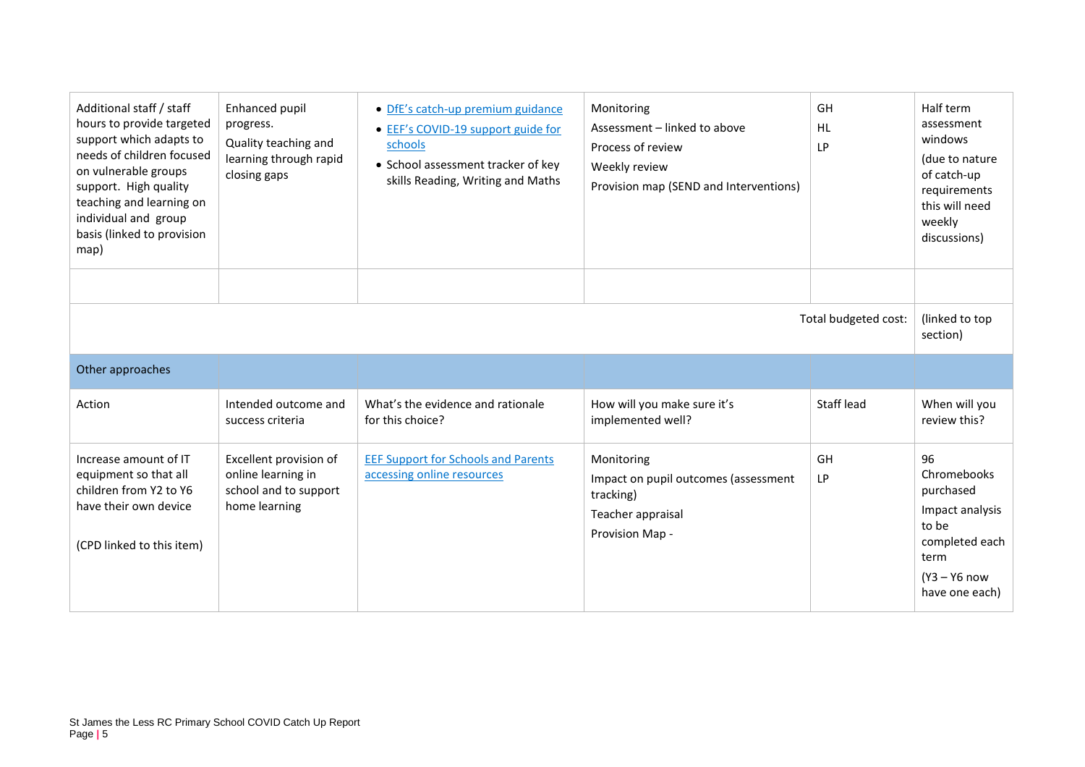| Additional staff / staff<br>hours to provide targeted<br>support which adapts to<br>needs of children focused<br>on vulnerable groups<br>support. High quality<br>teaching and learning on<br>individual and group<br>basis (linked to provision<br>map) | Enhanced pupil<br>progress.<br>Quality teaching and<br>learning through rapid<br>closing gaps | • DfE's catch-up premium guidance<br>• EEF's COVID-19 support guide for<br>schools<br>• School assessment tracker of key<br>skills Reading, Writing and Maths | Monitoring<br>Assessment - linked to above<br>Process of review<br>Weekly review<br>Provision map (SEND and Interventions) | GH<br><b>HL</b><br>LP | Half term<br>assessment<br>windows<br>(due to nature<br>of catch-up<br>requirements<br>this will need<br>weekly<br>discussions) |
|----------------------------------------------------------------------------------------------------------------------------------------------------------------------------------------------------------------------------------------------------------|-----------------------------------------------------------------------------------------------|---------------------------------------------------------------------------------------------------------------------------------------------------------------|----------------------------------------------------------------------------------------------------------------------------|-----------------------|---------------------------------------------------------------------------------------------------------------------------------|
| Total budgeted cost:                                                                                                                                                                                                                                     |                                                                                               |                                                                                                                                                               |                                                                                                                            |                       | (linked to top<br>section)                                                                                                      |
| Other approaches                                                                                                                                                                                                                                         |                                                                                               |                                                                                                                                                               |                                                                                                                            |                       |                                                                                                                                 |
| Action                                                                                                                                                                                                                                                   | Intended outcome and<br>success criteria                                                      | What's the evidence and rationale<br>for this choice?                                                                                                         | How will you make sure it's<br>implemented well?                                                                           | Staff lead            | When will you<br>review this?                                                                                                   |
| Increase amount of IT<br>equipment so that all<br>children from Y2 to Y6<br>have their own device<br>(CPD linked to this item)                                                                                                                           | Excellent provision of<br>online learning in<br>school and to support<br>home learning        | <b>EEF Support for Schools and Parents</b><br>accessing online resources                                                                                      | Monitoring<br>Impact on pupil outcomes (assessment<br>tracking)<br>Teacher appraisal<br>Provision Map -                    | GH<br><b>LP</b>       | 96<br>Chromebooks<br>purchased<br>Impact analysis<br>to be<br>completed each<br>term<br>$(Y3 - Y6)$ now<br>have one each)       |